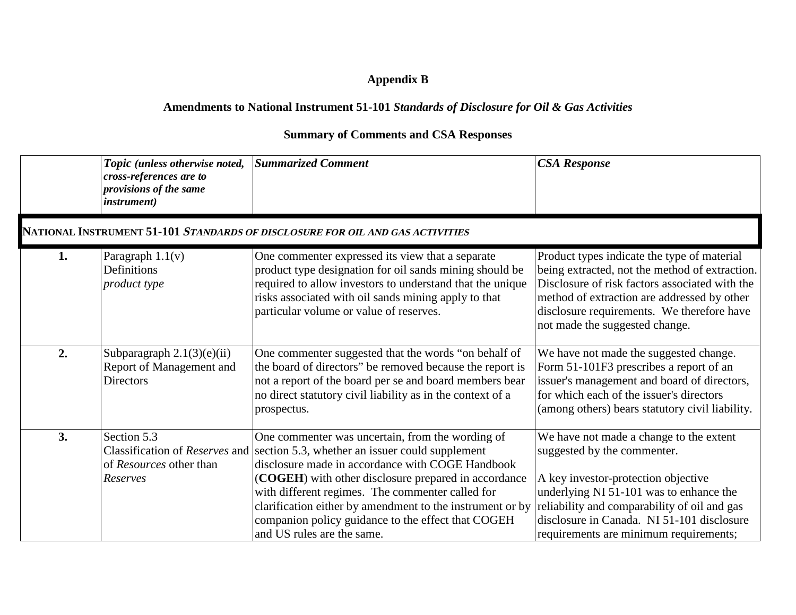## **Appendix B**

## **Amendments to National Instrument 51-101** *Standards of Disclosure for Oil & Gas Activities*

## **Summary of Comments and CSA Responses**

|    | Topic (unless otherwise noted,<br>cross-references are to<br>provisions of the same<br><i>instrument</i> ) | <b>Summarized Comment</b>                                                                                                                                                                                                                                                                                                                                                                                            | <b>CSA Response</b>                                                                                                                                                                                                                                                                              |
|----|------------------------------------------------------------------------------------------------------------|----------------------------------------------------------------------------------------------------------------------------------------------------------------------------------------------------------------------------------------------------------------------------------------------------------------------------------------------------------------------------------------------------------------------|--------------------------------------------------------------------------------------------------------------------------------------------------------------------------------------------------------------------------------------------------------------------------------------------------|
|    |                                                                                                            | NATIONAL INSTRUMENT 51-101 STANDARDS OF DISCLOSURE FOR OIL AND GAS ACTIVITIES                                                                                                                                                                                                                                                                                                                                        |                                                                                                                                                                                                                                                                                                  |
| 1. | Paragraph $1.1(v)$<br>Definitions<br>product type                                                          | One commenter expressed its view that a separate<br>product type designation for oil sands mining should be<br>required to allow investors to understand that the unique<br>risks associated with oil sands mining apply to that<br>particular volume or value of reserves.                                                                                                                                          | Product types indicate the type of material<br>being extracted, not the method of extraction.<br>Disclosure of risk factors associated with the<br>method of extraction are addressed by other<br>disclosure requirements. We therefore have<br>not made the suggested change.                   |
| 2. | Subparagraph $2.1(3)(e)(ii)$<br>Report of Management and<br><b>Directors</b>                               | One commenter suggested that the words "on behalf of<br>the board of directors" be removed because the report is<br>not a report of the board per se and board members bear<br>no direct statutory civil liability as in the context of a<br>prospectus.                                                                                                                                                             | We have not made the suggested change.<br>Form 51-101F3 prescribes a report of an<br>issuer's management and board of directors,<br>for which each of the issuer's directors<br>(among others) bears statutory civil liability.                                                                  |
| 3. | Section 5.3<br>Classification of Reserves and<br>of <i>Resources</i> other than<br>Reserves                | One commenter was uncertain, from the wording of<br>section 5.3, whether an issuer could supplement<br>disclosure made in accordance with COGE Handbook<br>(COGEH) with other disclosure prepared in accordance<br>with different regimes. The commenter called for<br>clarification either by amendment to the instrument or by<br>companion policy guidance to the effect that COGEH<br>and US rules are the same. | We have not made a change to the extent<br>suggested by the commenter.<br>A key investor-protection objective<br>underlying NI 51-101 was to enhance the<br>reliability and comparability of oil and gas<br>disclosure in Canada. NI 51-101 disclosure<br>requirements are minimum requirements; |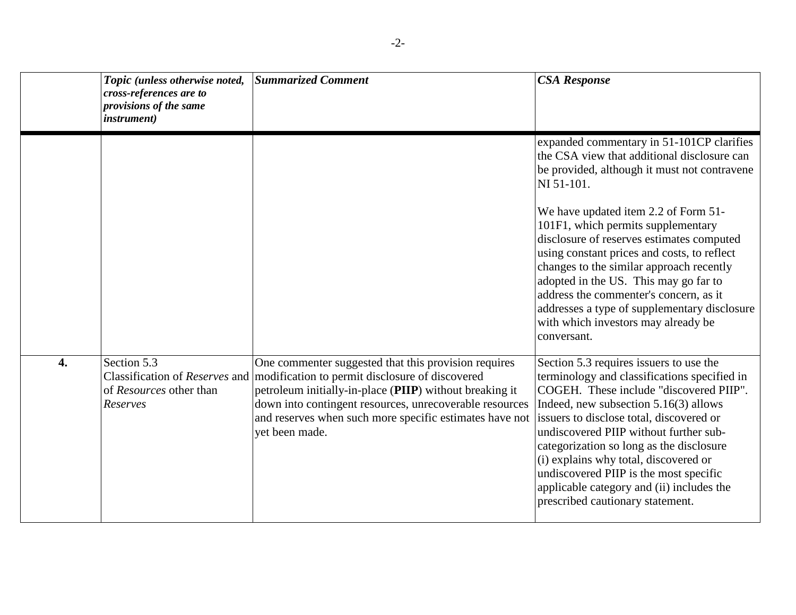|    | Topic (unless otherwise noted,<br>cross-references are to<br>provisions of the same<br><i>instrument</i> ) | <b>Summarized Comment</b>                                                                                                                                                                                                                                                                                  | <b>CSA Response</b>                                                                                                                                                                                                                                                                                                                                                                                                                                                                                                                                                   |
|----|------------------------------------------------------------------------------------------------------------|------------------------------------------------------------------------------------------------------------------------------------------------------------------------------------------------------------------------------------------------------------------------------------------------------------|-----------------------------------------------------------------------------------------------------------------------------------------------------------------------------------------------------------------------------------------------------------------------------------------------------------------------------------------------------------------------------------------------------------------------------------------------------------------------------------------------------------------------------------------------------------------------|
|    |                                                                                                            |                                                                                                                                                                                                                                                                                                            | expanded commentary in 51-101CP clarifies<br>the CSA view that additional disclosure can<br>be provided, although it must not contravene<br>NI 51-101.<br>We have updated item 2.2 of Form 51-<br>101F1, which permits supplementary<br>disclosure of reserves estimates computed<br>using constant prices and costs, to reflect<br>changes to the similar approach recently<br>adopted in the US. This may go far to<br>address the commenter's concern, as it<br>addresses a type of supplementary disclosure<br>with which investors may already be<br>conversant. |
| 4. | Section 5.3<br>Classification of Reserves and<br>of Resources other than<br>Reserves                       | One commenter suggested that this provision requires<br>modification to permit disclosure of discovered<br>petroleum initially-in-place (PIIP) without breaking it<br>down into contingent resources, unrecoverable resources<br>and reserves when such more specific estimates have not<br>yet been made. | Section 5.3 requires issuers to use the<br>terminology and classifications specified in<br>COGEH. These include "discovered PIIP".<br>Indeed, new subsection 5.16(3) allows<br>issuers to disclose total, discovered or<br>undiscovered PIIP without further sub-<br>categorization so long as the disclosure<br>(i) explains why total, discovered or<br>undiscovered PIIP is the most specific<br>applicable category and (ii) includes the<br>prescribed cautionary statement.                                                                                     |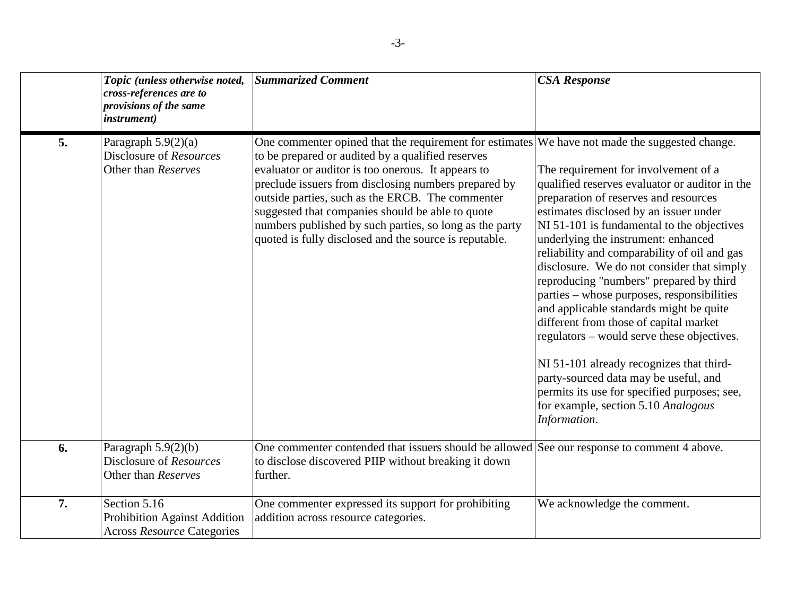|    | Topic (unless otherwise noted,<br>cross-references are to<br>provisions of the same<br><i>instrument</i> ) | <b>Summarized Comment</b>                                                                                                                                                                                                                                                                                                                                                                                                                                                                      | <b>CSA Response</b>                                                                                                                                                                                                                                                                                                                                                                                                                                                                                                                                                                                                                                                                                                                                                                  |
|----|------------------------------------------------------------------------------------------------------------|------------------------------------------------------------------------------------------------------------------------------------------------------------------------------------------------------------------------------------------------------------------------------------------------------------------------------------------------------------------------------------------------------------------------------------------------------------------------------------------------|--------------------------------------------------------------------------------------------------------------------------------------------------------------------------------------------------------------------------------------------------------------------------------------------------------------------------------------------------------------------------------------------------------------------------------------------------------------------------------------------------------------------------------------------------------------------------------------------------------------------------------------------------------------------------------------------------------------------------------------------------------------------------------------|
| 5. | Paragraph $5.9(2)(a)$<br>Disclosure of Resources<br>Other than Reserves                                    | One commenter opined that the requirement for estimates We have not made the suggested change.<br>to be prepared or audited by a qualified reserves<br>evaluator or auditor is too onerous. It appears to<br>preclude issuers from disclosing numbers prepared by<br>outside parties, such as the ERCB. The commenter<br>suggested that companies should be able to quote<br>numbers published by such parties, so long as the party<br>quoted is fully disclosed and the source is reputable. | The requirement for involvement of a<br>qualified reserves evaluator or auditor in the<br>preparation of reserves and resources<br>estimates disclosed by an issuer under<br>NI 51-101 is fundamental to the objectives<br>underlying the instrument: enhanced<br>reliability and comparability of oil and gas<br>disclosure. We do not consider that simply<br>reproducing "numbers" prepared by third<br>parties – whose purposes, responsibilities<br>and applicable standards might be quite<br>different from those of capital market<br>regulators – would serve these objectives.<br>NI 51-101 already recognizes that third-<br>party-sourced data may be useful, and<br>permits its use for specified purposes; see,<br>for example, section 5.10 Analogous<br>Information. |
| 6. | Paragraph $5.9(2)(b)$<br>Disclosure of Resources<br>Other than Reserves                                    | One commenter contended that issuers should be allowed See our response to comment 4 above.<br>to disclose discovered PIIP without breaking it down<br>further.                                                                                                                                                                                                                                                                                                                                |                                                                                                                                                                                                                                                                                                                                                                                                                                                                                                                                                                                                                                                                                                                                                                                      |
| 7. | Section 5.16<br><b>Prohibition Against Addition</b><br><b>Across Resource Categories</b>                   | One commenter expressed its support for prohibiting<br>addition across resource categories.                                                                                                                                                                                                                                                                                                                                                                                                    | We acknowledge the comment.                                                                                                                                                                                                                                                                                                                                                                                                                                                                                                                                                                                                                                                                                                                                                          |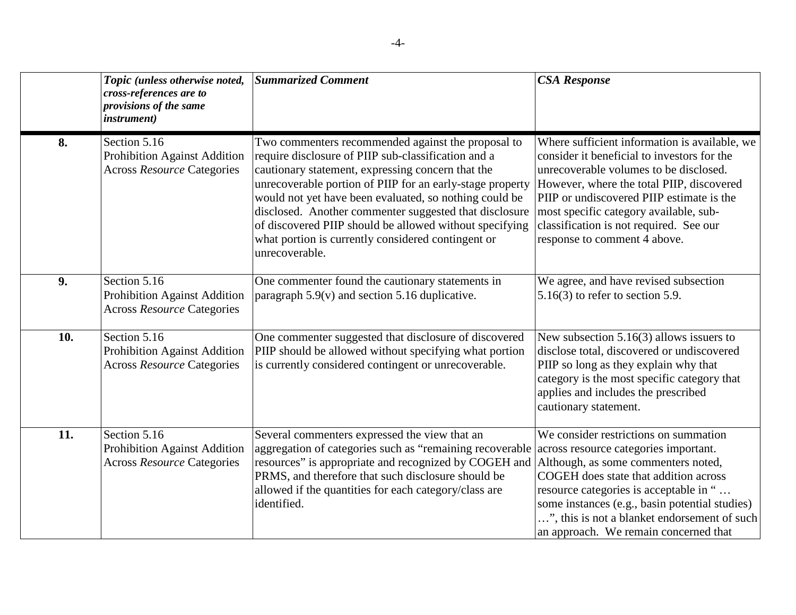|     | Topic (unless otherwise noted,<br>cross-references are to<br>provisions of the same<br><i>instrument</i> ) | <b>Summarized Comment</b>                                                                                                                                                                                                                                                                                                                                                                                                                                                          | <b>CSA Response</b>                                                                                                                                                                                                                                                                                                                                   |
|-----|------------------------------------------------------------------------------------------------------------|------------------------------------------------------------------------------------------------------------------------------------------------------------------------------------------------------------------------------------------------------------------------------------------------------------------------------------------------------------------------------------------------------------------------------------------------------------------------------------|-------------------------------------------------------------------------------------------------------------------------------------------------------------------------------------------------------------------------------------------------------------------------------------------------------------------------------------------------------|
| 8.  | Section 5.16<br><b>Prohibition Against Addition</b><br><b>Across Resource Categories</b>                   | Two commenters recommended against the proposal to<br>require disclosure of PIIP sub-classification and a<br>cautionary statement, expressing concern that the<br>unrecoverable portion of PIIP for an early-stage property<br>would not yet have been evaluated, so nothing could be<br>disclosed. Another commenter suggested that disclosure<br>of discovered PIIP should be allowed without specifying<br>what portion is currently considered contingent or<br>unrecoverable. | Where sufficient information is available, we<br>consider it beneficial to investors for the<br>unrecoverable volumes to be disclosed.<br>However, where the total PIIP, discovered<br>PIIP or undiscovered PIIP estimate is the<br>most specific category available, sub-<br>classification is not required. See our<br>response to comment 4 above. |
| 9.  | Section 5.16<br><b>Prohibition Against Addition</b><br><b>Across Resource Categories</b>                   | One commenter found the cautionary statements in<br>paragraph $5.9(v)$ and section $5.16$ duplicative.                                                                                                                                                                                                                                                                                                                                                                             | We agree, and have revised subsection<br>$5.16(3)$ to refer to section 5.9.                                                                                                                                                                                                                                                                           |
| 10. | Section 5.16<br>Prohibition Against Addition<br><b>Across Resource Categories</b>                          | One commenter suggested that disclosure of discovered<br>PIIP should be allowed without specifying what portion<br>is currently considered contingent or unrecoverable.                                                                                                                                                                                                                                                                                                            | New subsection $5.16(3)$ allows issuers to<br>disclose total, discovered or undiscovered<br>PIIP so long as they explain why that<br>category is the most specific category that<br>applies and includes the prescribed<br>cautionary statement.                                                                                                      |
| 11. | Section 5.16<br>Prohibition Against Addition<br><b>Across Resource Categories</b>                          | Several commenters expressed the view that an<br>aggregation of categories such as "remaining recoverable<br>resources" is appropriate and recognized by COGEH and Although, as some commenters noted,<br>PRMS, and therefore that such disclosure should be<br>allowed if the quantities for each category/class are<br>identified.                                                                                                                                               | We consider restrictions on summation<br>across resource categories important.<br>COGEH does state that addition across<br>resource categories is acceptable in "<br>some instances (e.g., basin potential studies)<br>", this is not a blanket endorsement of such<br>an approach. We remain concerned that                                          |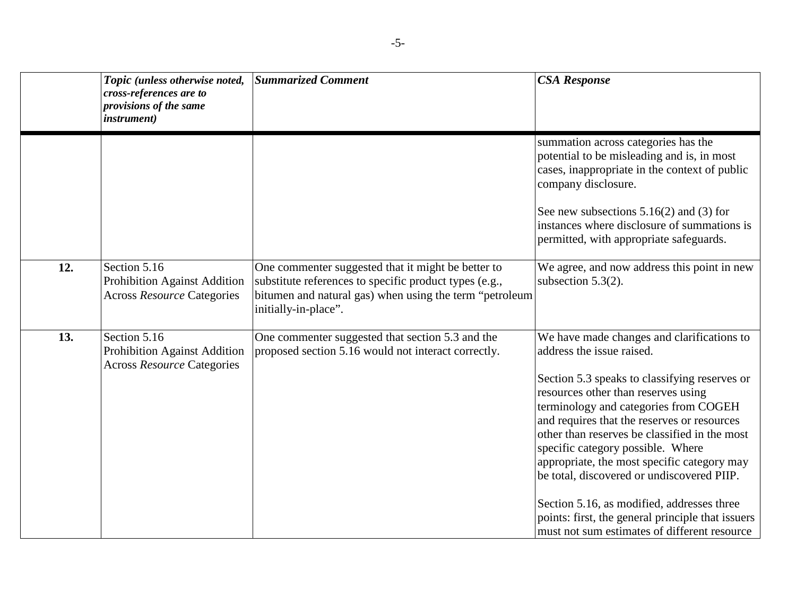|     | Topic (unless otherwise noted,<br>cross-references are to<br>provisions of the same<br><i>instrument</i> ) | <b>Summarized Comment</b>                                                                                                                                                                       | <b>CSA Response</b>                                                                                                                                                                                                                                                                                                                                                                                                                                                                                                                                                                           |
|-----|------------------------------------------------------------------------------------------------------------|-------------------------------------------------------------------------------------------------------------------------------------------------------------------------------------------------|-----------------------------------------------------------------------------------------------------------------------------------------------------------------------------------------------------------------------------------------------------------------------------------------------------------------------------------------------------------------------------------------------------------------------------------------------------------------------------------------------------------------------------------------------------------------------------------------------|
|     |                                                                                                            |                                                                                                                                                                                                 | summation across categories has the<br>potential to be misleading and is, in most<br>cases, inappropriate in the context of public<br>company disclosure.                                                                                                                                                                                                                                                                                                                                                                                                                                     |
|     |                                                                                                            |                                                                                                                                                                                                 | See new subsections $5.16(2)$ and $(3)$ for<br>instances where disclosure of summations is<br>permitted, with appropriate safeguards.                                                                                                                                                                                                                                                                                                                                                                                                                                                         |
| 12. | Section 5.16<br>Prohibition Against Addition<br><b>Across Resource Categories</b>                          | One commenter suggested that it might be better to<br>substitute references to specific product types (e.g.,<br>bitumen and natural gas) when using the term "petroleum<br>initially-in-place". | We agree, and now address this point in new<br>subsection $5.3(2)$ .                                                                                                                                                                                                                                                                                                                                                                                                                                                                                                                          |
| 13. | Section 5.16<br><b>Prohibition Against Addition</b><br><b>Across Resource Categories</b>                   | One commenter suggested that section 5.3 and the<br>proposed section 5.16 would not interact correctly.                                                                                         | We have made changes and clarifications to<br>address the issue raised.<br>Section 5.3 speaks to classifying reserves or<br>resources other than reserves using<br>terminology and categories from COGEH<br>and requires that the reserves or resources<br>other than reserves be classified in the most<br>specific category possible. Where<br>appropriate, the most specific category may<br>be total, discovered or undiscovered PIIP.<br>Section 5.16, as modified, addresses three<br>points: first, the general principle that issuers<br>must not sum estimates of different resource |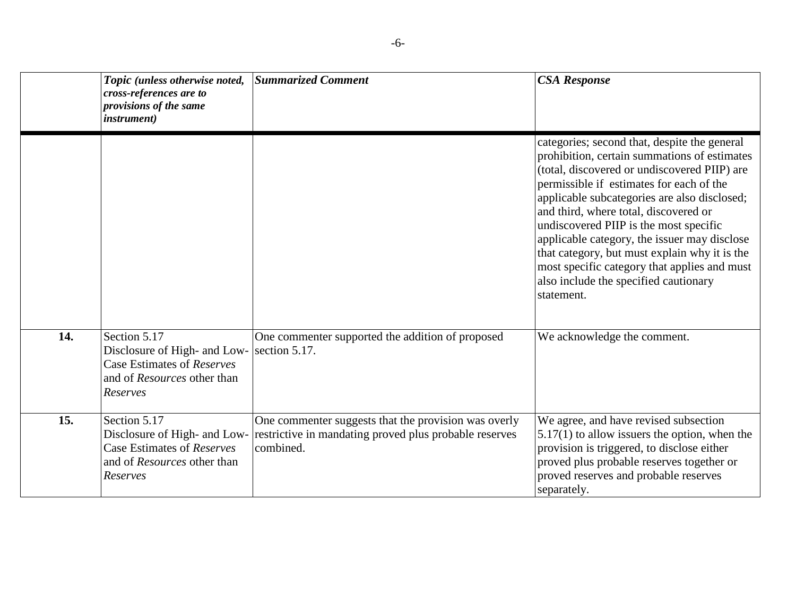|     | Topic (unless otherwise noted,<br>cross-references are to<br>provisions of the same<br><i>instrument</i> )                   | <b>Summarized Comment</b>                                                                                                   | <b>CSA Response</b>                                                                                                                                                                                                                                                                                                                                                                                                                                                                                                                 |
|-----|------------------------------------------------------------------------------------------------------------------------------|-----------------------------------------------------------------------------------------------------------------------------|-------------------------------------------------------------------------------------------------------------------------------------------------------------------------------------------------------------------------------------------------------------------------------------------------------------------------------------------------------------------------------------------------------------------------------------------------------------------------------------------------------------------------------------|
|     |                                                                                                                              |                                                                                                                             | categories; second that, despite the general<br>prohibition, certain summations of estimates<br>(total, discovered or undiscovered PIIP) are<br>permissible if estimates for each of the<br>applicable subcategories are also disclosed;<br>and third, where total, discovered or<br>undiscovered PIIP is the most specific<br>applicable category, the issuer may disclose<br>that category, but must explain why it is the<br>most specific category that applies and must<br>also include the specified cautionary<br>statement. |
| 14. | Section 5.17<br>Disclosure of High- and Low-<br>Case Estimates of Reserves<br>and of <i>Resources</i> other than<br>Reserves | One commenter supported the addition of proposed<br>section 5.17.                                                           | We acknowledge the comment.                                                                                                                                                                                                                                                                                                                                                                                                                                                                                                         |
| 15. | Section 5.17<br>Disclosure of High- and Low-<br>Case Estimates of Reserves<br>and of <i>Resources</i> other than<br>Reserves | One commenter suggests that the provision was overly<br>restrictive in mandating proved plus probable reserves<br>combined. | We agree, and have revised subsection<br>$5.17(1)$ to allow issuers the option, when the<br>provision is triggered, to disclose either<br>proved plus probable reserves together or<br>proved reserves and probable reserves<br>separately.                                                                                                                                                                                                                                                                                         |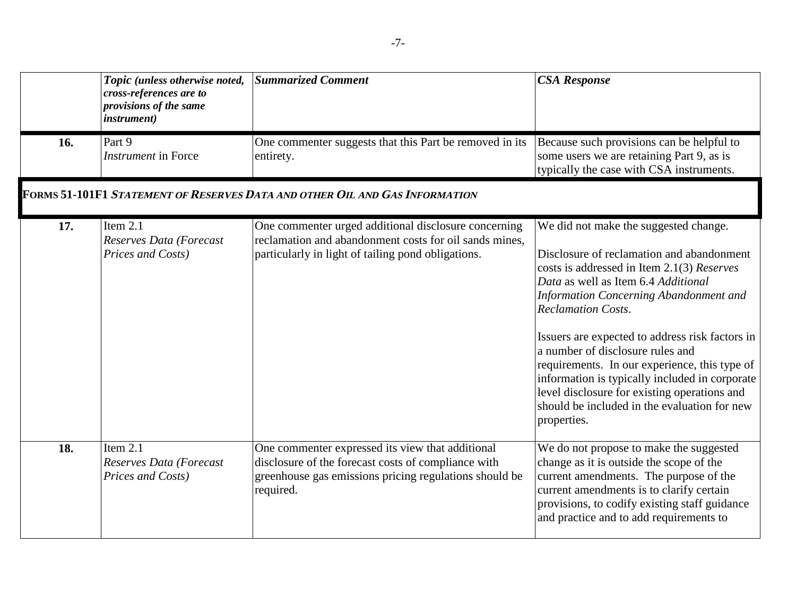|     | Topic (unless otherwise noted,<br>cross-references are to<br>provisions of the same<br><i>instrument</i> ) | <b>Summarized Comment</b>                                                                                                                                                      | <b>CSA Response</b>                                                                                                                                                                                                                                                                                                                                                                                                                                                                                                                                     |
|-----|------------------------------------------------------------------------------------------------------------|--------------------------------------------------------------------------------------------------------------------------------------------------------------------------------|---------------------------------------------------------------------------------------------------------------------------------------------------------------------------------------------------------------------------------------------------------------------------------------------------------------------------------------------------------------------------------------------------------------------------------------------------------------------------------------------------------------------------------------------------------|
| 16. | Part 9<br>Instrument in Force                                                                              | One commenter suggests that this Part be removed in its<br>entirety.                                                                                                           | Because such provisions can be helpful to<br>some users we are retaining Part 9, as is<br>typically the case with CSA instruments.                                                                                                                                                                                                                                                                                                                                                                                                                      |
|     |                                                                                                            | FORMS 51-101F1 STATEMENT OF RESERVES DATA AND OTHER OIL AND GAS INFORMATION                                                                                                    |                                                                                                                                                                                                                                                                                                                                                                                                                                                                                                                                                         |
| 17. | Item $2.1$<br>Reserves Data (Forecast<br>Prices and Costs)                                                 | One commenter urged additional disclosure concerning<br>reclamation and abandonment costs for oil sands mines,<br>particularly in light of tailing pond obligations.           | We did not make the suggested change.<br>Disclosure of reclamation and abandonment<br>costs is addressed in Item 2.1(3) Reserves<br>Data as well as Item 6.4 Additional<br>Information Concerning Abandonment and<br><b>Reclamation Costs.</b><br>Issuers are expected to address risk factors in<br>a number of disclosure rules and<br>requirements. In our experience, this type of<br>information is typically included in corporate<br>level disclosure for existing operations and<br>should be included in the evaluation for new<br>properties. |
| 18. | Item $2.1$<br>Reserves Data (Forecast<br>Prices and Costs)                                                 | One commenter expressed its view that additional<br>disclosure of the forecast costs of compliance with<br>greenhouse gas emissions pricing regulations should be<br>required. | We do not propose to make the suggested<br>change as it is outside the scope of the<br>current amendments. The purpose of the<br>current amendments is to clarify certain<br>provisions, to codify existing staff guidance<br>and practice and to add requirements to                                                                                                                                                                                                                                                                                   |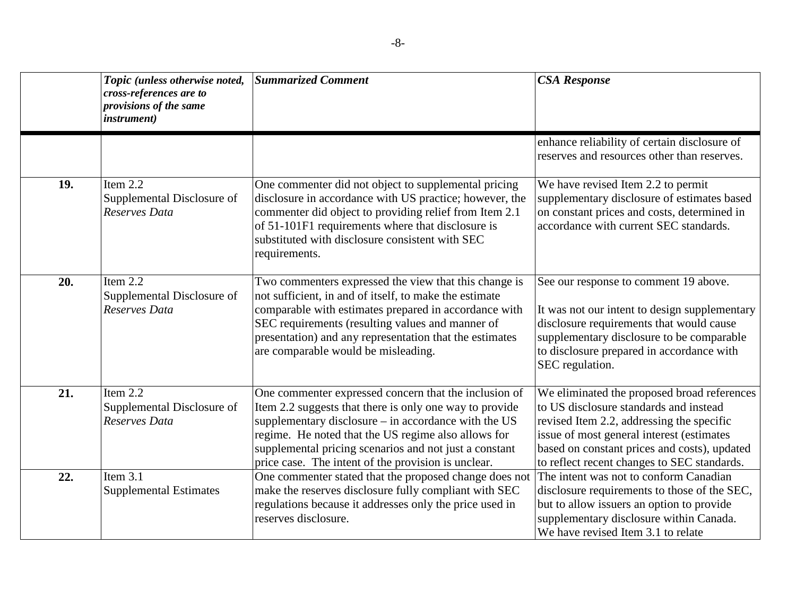|     | Topic (unless otherwise noted,<br>cross-references are to<br>provisions of the same<br><i>instrument</i> ) | <b>Summarized Comment</b>                                                                                                                                                                                                                                                                                                                          | <b>CSA Response</b>                                                                                                                                                                                                                                                            |
|-----|------------------------------------------------------------------------------------------------------------|----------------------------------------------------------------------------------------------------------------------------------------------------------------------------------------------------------------------------------------------------------------------------------------------------------------------------------------------------|--------------------------------------------------------------------------------------------------------------------------------------------------------------------------------------------------------------------------------------------------------------------------------|
|     |                                                                                                            |                                                                                                                                                                                                                                                                                                                                                    | enhance reliability of certain disclosure of<br>reserves and resources other than reserves.                                                                                                                                                                                    |
| 19. | Item $2.2$<br>Supplemental Disclosure of<br>Reserves Data                                                  | One commenter did not object to supplemental pricing<br>disclosure in accordance with US practice; however, the<br>commenter did object to providing relief from Item 2.1<br>of 51-101F1 requirements where that disclosure is<br>substituted with disclosure consistent with SEC<br>requirements.                                                 | We have revised Item 2.2 to permit<br>supplementary disclosure of estimates based<br>on constant prices and costs, determined in<br>accordance with current SEC standards.                                                                                                     |
| 20. | Item $2.2$<br>Supplemental Disclosure of<br>Reserves Data                                                  | Two commenters expressed the view that this change is<br>not sufficient, in and of itself, to make the estimate<br>comparable with estimates prepared in accordance with<br>SEC requirements (resulting values and manner of<br>presentation) and any representation that the estimates<br>are comparable would be misleading.                     | See our response to comment 19 above.<br>It was not our intent to design supplementary<br>disclosure requirements that would cause<br>supplementary disclosure to be comparable<br>to disclosure prepared in accordance with<br>SEC regulation.                                |
| 21. | Item $2.2$<br>Supplemental Disclosure of<br>Reserves Data                                                  | One commenter expressed concern that the inclusion of<br>Item 2.2 suggests that there is only one way to provide<br>supplementary disclosure $-$ in accordance with the US<br>regime. He noted that the US regime also allows for<br>supplemental pricing scenarios and not just a constant<br>price case. The intent of the provision is unclear. | We eliminated the proposed broad references<br>to US disclosure standards and instead<br>revised Item 2.2, addressing the specific<br>issue of most general interest (estimates<br>based on constant prices and costs), updated<br>to reflect recent changes to SEC standards. |
| 22. | Item $3.1$<br><b>Supplemental Estimates</b>                                                                | One commenter stated that the proposed change does not<br>make the reserves disclosure fully compliant with SEC<br>regulations because it addresses only the price used in<br>reserves disclosure.                                                                                                                                                 | The intent was not to conform Canadian<br>disclosure requirements to those of the SEC,<br>but to allow issuers an option to provide<br>supplementary disclosure within Canada.<br>We have revised Item 3.1 to relate                                                           |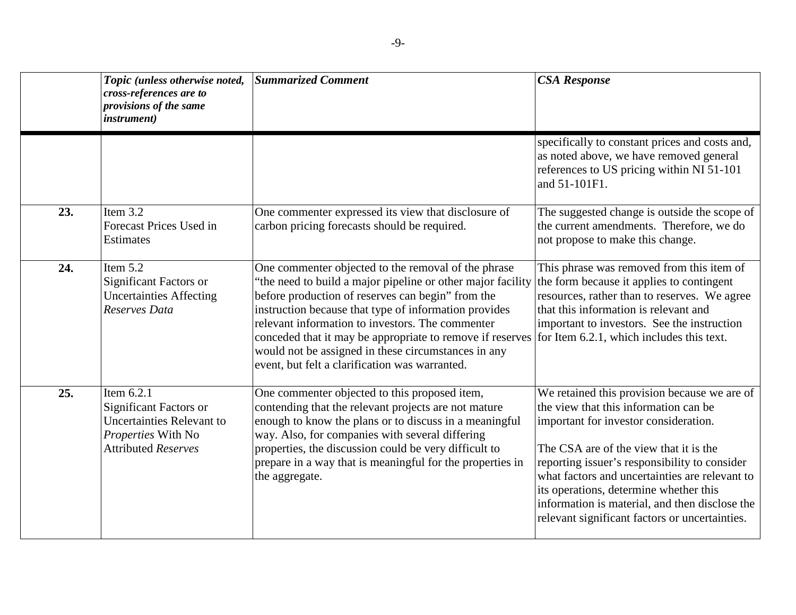|     | Topic (unless otherwise noted,<br>cross-references are to<br>provisions of the same<br><i>instrument</i> )                   | <b>Summarized Comment</b>                                                                                                                                                                                                                                                                                                                                                                                                                                 | <b>CSA Response</b>                                                                                                                                                                                                                                                                                                                                                                                                       |
|-----|------------------------------------------------------------------------------------------------------------------------------|-----------------------------------------------------------------------------------------------------------------------------------------------------------------------------------------------------------------------------------------------------------------------------------------------------------------------------------------------------------------------------------------------------------------------------------------------------------|---------------------------------------------------------------------------------------------------------------------------------------------------------------------------------------------------------------------------------------------------------------------------------------------------------------------------------------------------------------------------------------------------------------------------|
|     |                                                                                                                              |                                                                                                                                                                                                                                                                                                                                                                                                                                                           | specifically to constant prices and costs and,<br>as noted above, we have removed general<br>references to US pricing within NI 51-101<br>and 51-101F1.                                                                                                                                                                                                                                                                   |
| 23. | Item $3.2$<br>Forecast Prices Used in<br><b>Estimates</b>                                                                    | One commenter expressed its view that disclosure of<br>carbon pricing forecasts should be required.                                                                                                                                                                                                                                                                                                                                                       | The suggested change is outside the scope of<br>the current amendments. Therefore, we do<br>not propose to make this change.                                                                                                                                                                                                                                                                                              |
| 24. | Item $5.2$<br>Significant Factors or<br><b>Uncertainties Affecting</b><br>Reserves Data                                      | One commenter objected to the removal of the phrase<br>the need to build a major pipeline or other major facility<br>before production of reserves can begin" from the<br>instruction because that type of information provides<br>relevant information to investors. The commenter<br>conceded that it may be appropriate to remove if reserves<br>would not be assigned in these circumstances in any<br>event, but felt a clarification was warranted. | This phrase was removed from this item of<br>the form because it applies to contingent<br>resources, rather than to reserves. We agree<br>that this information is relevant and<br>important to investors. See the instruction<br>for Item $6.2.1$ , which includes this text.                                                                                                                                            |
| 25. | Item 6.2.1<br><b>Significant Factors or</b><br>Uncertainties Relevant to<br>Properties With No<br><b>Attributed Reserves</b> | One commenter objected to this proposed item,<br>contending that the relevant projects are not mature<br>enough to know the plans or to discuss in a meaningful<br>way. Also, for companies with several differing<br>properties, the discussion could be very difficult to<br>prepare in a way that is meaningful for the properties in<br>the aggregate.                                                                                                | We retained this provision because we are of<br>the view that this information can be<br>important for investor consideration.<br>The CSA are of the view that it is the<br>reporting issuer's responsibility to consider<br>what factors and uncertainties are relevant to<br>its operations, determine whether this<br>information is material, and then disclose the<br>relevant significant factors or uncertainties. |